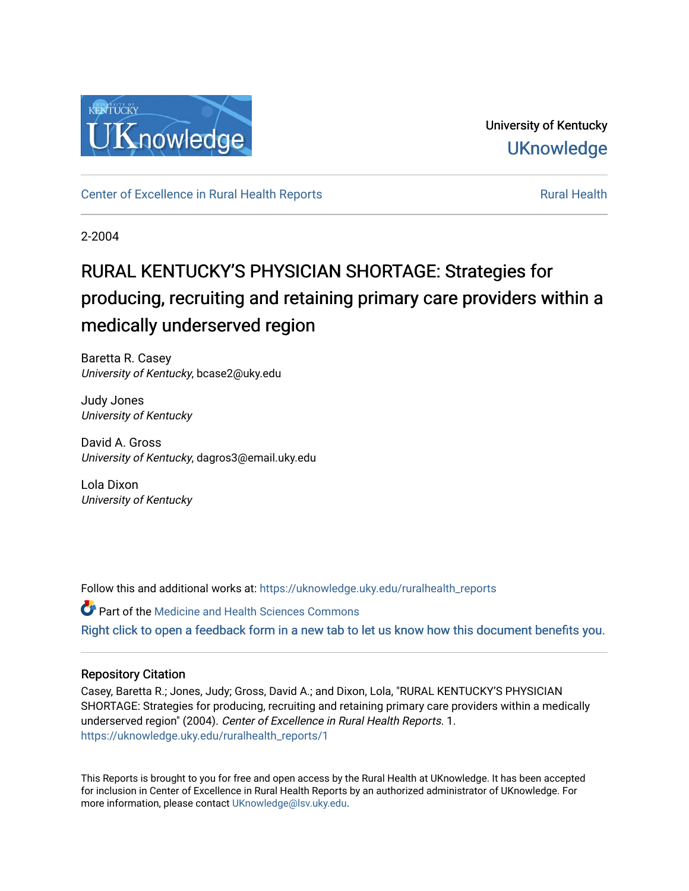

University of Kentucky **UKnowledge** 

[Center of Excellence in Rural Health Reports](https://uknowledge.uky.edu/ruralhealth_reports) **Rural Health** Rural Health

2-2004

# RURAL KENTUCKY'S PHYSICIAN SHORTAGE: Strategies for producing, recruiting and retaining primary care providers within a medically underserved region

Baretta R. Casey University of Kentucky, bcase2@uky.edu

Judy Jones University of Kentucky

David A. Gross University of Kentucky, dagros3@email.uky.edu

Lola Dixon University of Kentucky

Follow this and additional works at: [https://uknowledge.uky.edu/ruralhealth\\_reports](https://uknowledge.uky.edu/ruralhealth_reports?utm_source=uknowledge.uky.edu%2Fruralhealth_reports%2F1&utm_medium=PDF&utm_campaign=PDFCoverPages)

Part of the [Medicine and Health Sciences Commons](http://network.bepress.com/hgg/discipline/648?utm_source=uknowledge.uky.edu%2Fruralhealth_reports%2F1&utm_medium=PDF&utm_campaign=PDFCoverPages)  [Right click to open a feedback form in a new tab to let us know how this document benefits you.](https://uky.az1.qualtrics.com/jfe/form/SV_9mq8fx2GnONRfz7)

# Repository Citation

Casey, Baretta R.; Jones, Judy; Gross, David A.; and Dixon, Lola, "RURAL KENTUCKY'S PHYSICIAN SHORTAGE: Strategies for producing, recruiting and retaining primary care providers within a medically underserved region" (2004). Center of Excellence in Rural Health Reports. 1. [https://uknowledge.uky.edu/ruralhealth\\_reports/1](https://uknowledge.uky.edu/ruralhealth_reports/1?utm_source=uknowledge.uky.edu%2Fruralhealth_reports%2F1&utm_medium=PDF&utm_campaign=PDFCoverPages)

This Reports is brought to you for free and open access by the Rural Health at UKnowledge. It has been accepted for inclusion in Center of Excellence in Rural Health Reports by an authorized administrator of UKnowledge. For more information, please contact [UKnowledge@lsv.uky.edu](mailto:UKnowledge@lsv.uky.edu).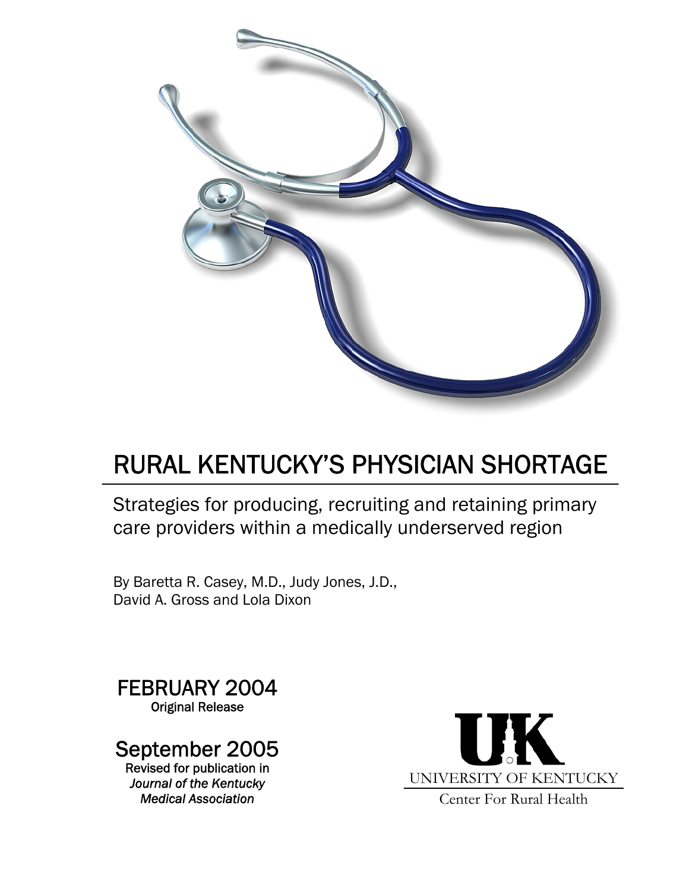

# RURAL KENTUCKY'S PHYSICIAN SHORTAGE

Strategies for producing, recruiting and retaining primary care providers within a medically underserved region

By Baretta R. Casey, M.D., Judy Jones, J.D., David A. Gross and Lola Dixon

FEBRUARY 2004 Original Release

# September 2005

Revised for publication in *Journal of the Kentucky Medical Association*

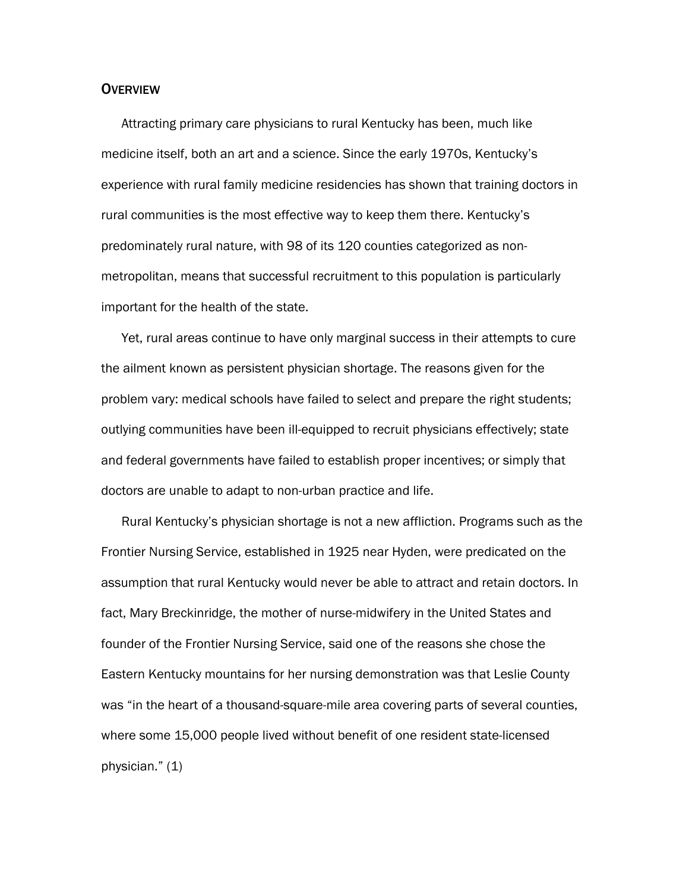## **OVERVIEW**

Attracting primary care physicians to rural Kentucky has been, much like medicine itself, both an art and a science. Since the early 1970s, Kentucky's experience with rural family medicine residencies has shown that training doctors in rural communities is the most effective way to keep them there. Kentucky's predominately rural nature, with 98 of its 120 counties categorized as nonmetropolitan, means that successful recruitment to this population is particularly important for the health of the state.

Yet, rural areas continue to have only marginal success in their attempts to cure the ailment known as persistent physician shortage. The reasons given for the problem vary: medical schools have failed to select and prepare the right students; outlying communities have been ill-equipped to recruit physicians effectively; state and federal governments have failed to establish proper incentives; or simply that doctors are unable to adapt to non-urban practice and life.

Rural Kentucky's physician shortage is not a new affliction. Programs such as the Frontier Nursing Service, established in 1925 near Hyden, were predicated on the assumption that rural Kentucky would never be able to attract and retain doctors. In fact, Mary Breckinridge, the mother of nurse-midwifery in the United States and founder of the Frontier Nursing Service, said one of the reasons she chose the Eastern Kentucky mountains for her nursing demonstration was that Leslie County was "in the heart of a thousand-square-mile area covering parts of several counties, where some 15,000 people lived without benefit of one resident state-licensed physician." (1)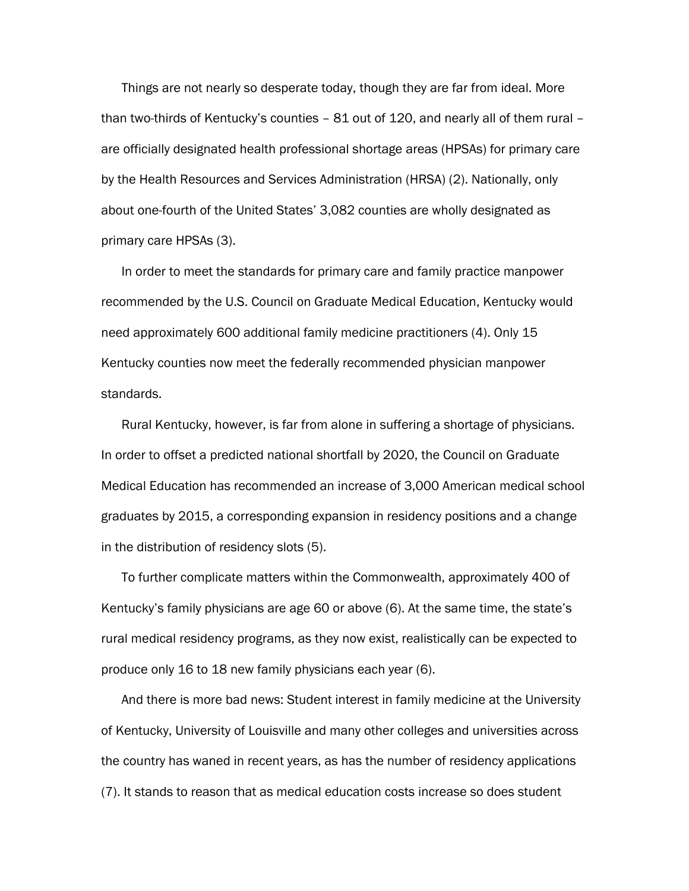Things are not nearly so desperate today, though they are far from ideal. More than two-thirds of Kentucky's counties – 81 out of 120, and nearly all of them rural – are officially designated health professional shortage areas (HPSAs) for primary care by the Health Resources and Services Administration (HRSA) (2). Nationally, only about one-fourth of the United States' 3,082 counties are wholly designated as primary care HPSAs (3).

In order to meet the standards for primary care and family practice manpower recommended by the U.S. Council on Graduate Medical Education, Kentucky would need approximately 600 additional family medicine practitioners (4). Only 15 Kentucky counties now meet the federally recommended physician manpower standards.

Rural Kentucky, however, is far from alone in suffering a shortage of physicians. In order to offset a predicted national shortfall by 2020, the Council on Graduate Medical Education has recommended an increase of 3,000 American medical school graduates by 2015, a corresponding expansion in residency positions and a change in the distribution of residency slots (5).

To further complicate matters within the Commonwealth, approximately 400 of Kentucky's family physicians are age 60 or above (6). At the same time, the state's rural medical residency programs, as they now exist, realistically can be expected to produce only 16 to 18 new family physicians each year (6).

And there is more bad news: Student interest in family medicine at the University of Kentucky, University of Louisville and many other colleges and universities across the country has waned in recent years, as has the number of residency applications (7). It stands to reason that as medical education costs increase so does student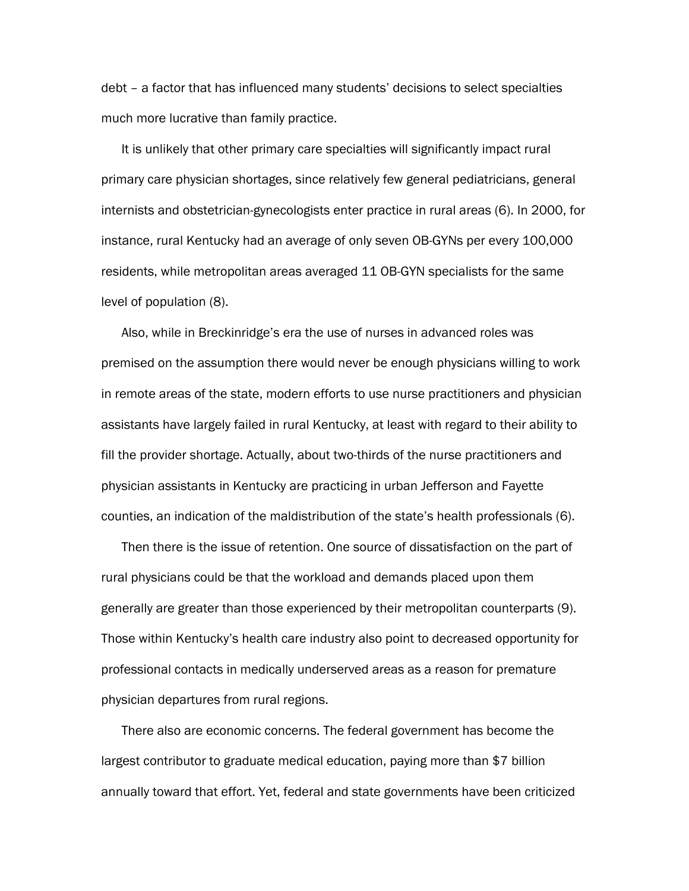debt – a factor that has influenced many students' decisions to select specialties much more lucrative than family practice.

It is unlikely that other primary care specialties will significantly impact rural primary care physician shortages, since relatively few general pediatricians, general internists and obstetrician-gynecologists enter practice in rural areas (6). In 2000, for instance, rural Kentucky had an average of only seven OB-GYNs per every 100,000 residents, while metropolitan areas averaged 11 OB-GYN specialists for the same level of population (8).

Also, while in Breckinridge's era the use of nurses in advanced roles was premised on the assumption there would never be enough physicians willing to work in remote areas of the state, modern efforts to use nurse practitioners and physician assistants have largely failed in rural Kentucky, at least with regard to their ability to fill the provider shortage. Actually, about two-thirds of the nurse practitioners and physician assistants in Kentucky are practicing in urban Jefferson and Fayette counties, an indication of the maldistribution of the state's health professionals (6).

Then there is the issue of retention. One source of dissatisfaction on the part of rural physicians could be that the workload and demands placed upon them generally are greater than those experienced by their metropolitan counterparts (9). Those within Kentucky's health care industry also point to decreased opportunity for professional contacts in medically underserved areas as a reason for premature physician departures from rural regions.

There also are economic concerns. The federal government has become the largest contributor to graduate medical education, paying more than \$7 billion annually toward that effort. Yet, federal and state governments have been criticized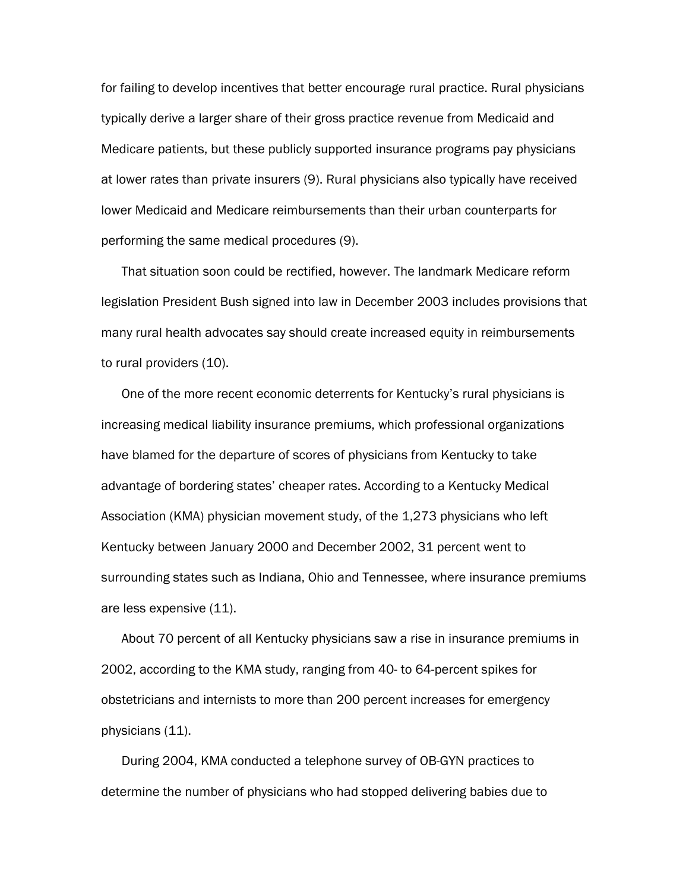for failing to develop incentives that better encourage rural practice. Rural physicians typically derive a larger share of their gross practice revenue from Medicaid and Medicare patients, but these publicly supported insurance programs pay physicians at lower rates than private insurers (9). Rural physicians also typically have received lower Medicaid and Medicare reimbursements than their urban counterparts for performing the same medical procedures (9).

That situation soon could be rectified, however. The landmark Medicare reform legislation President Bush signed into law in December 2003 includes provisions that many rural health advocates say should create increased equity in reimbursements to rural providers (10).

One of the more recent economic deterrents for Kentucky's rural physicians is increasing medical liability insurance premiums, which professional organizations have blamed for the departure of scores of physicians from Kentucky to take advantage of bordering states' cheaper rates. According to a Kentucky Medical Association (KMA) physician movement study, of the 1,273 physicians who left Kentucky between January 2000 and December 2002, 31 percent went to surrounding states such as Indiana, Ohio and Tennessee, where insurance premiums are less expensive (11).

About 70 percent of all Kentucky physicians saw a rise in insurance premiums in 2002, according to the KMA study, ranging from 40- to 64-percent spikes for obstetricians and internists to more than 200 percent increases for emergency physicians (11).

During 2004, KMA conducted a telephone survey of OB-GYN practices to determine the number of physicians who had stopped delivering babies due to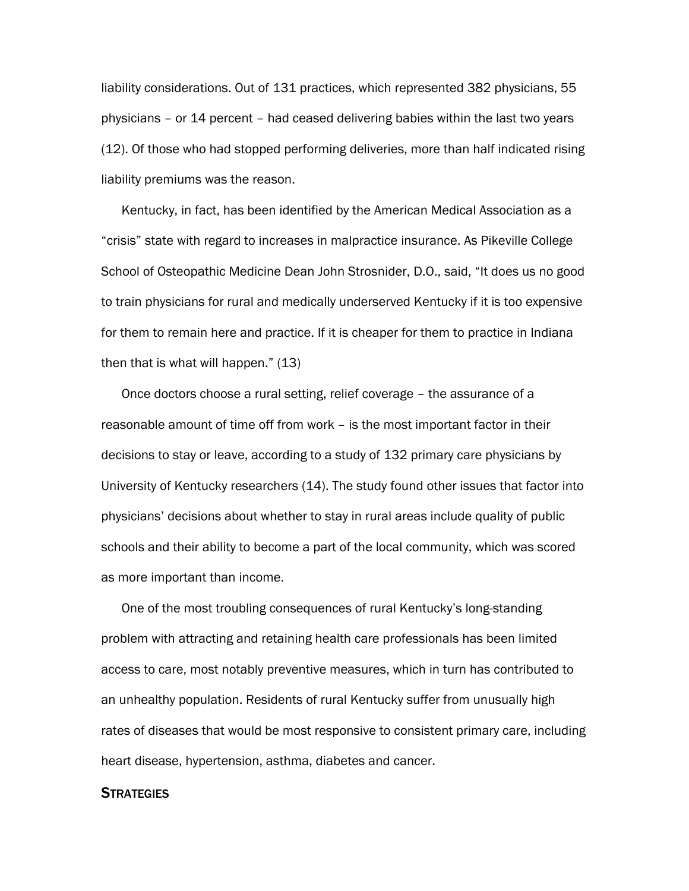liability considerations. Out of 131 practices, which represented 382 physicians, 55 physicians – or 14 percent – had ceased delivering babies within the last two years (12). Of those who had stopped performing deliveries, more than half indicated rising liability premiums was the reason.

Kentucky, in fact, has been identified by the American Medical Association as a "crisis" state with regard to increases in malpractice insurance. As Pikeville College School of Osteopathic Medicine Dean John Strosnider, D.O., said, "It does us no good to train physicians for rural and medically underserved Kentucky if it is too expensive for them to remain here and practice. If it is cheaper for them to practice in Indiana then that is what will happen." (13)

Once doctors choose a rural setting, relief coverage – the assurance of a reasonable amount of time off from work – is the most important factor in their decisions to stay or leave, according to a study of 132 primary care physicians by University of Kentucky researchers (14). The study found other issues that factor into physicians' decisions about whether to stay in rural areas include quality of public schools and their ability to become a part of the local community, which was scored as more important than income.

One of the most troubling consequences of rural Kentucky's long-standing problem with attracting and retaining health care professionals has been limited access to care, most notably preventive measures, which in turn has contributed to an unhealthy population. Residents of rural Kentucky suffer from unusually high rates of diseases that would be most responsive to consistent primary care, including heart disease, hypertension, asthma, diabetes and cancer.

## **STRATEGIES**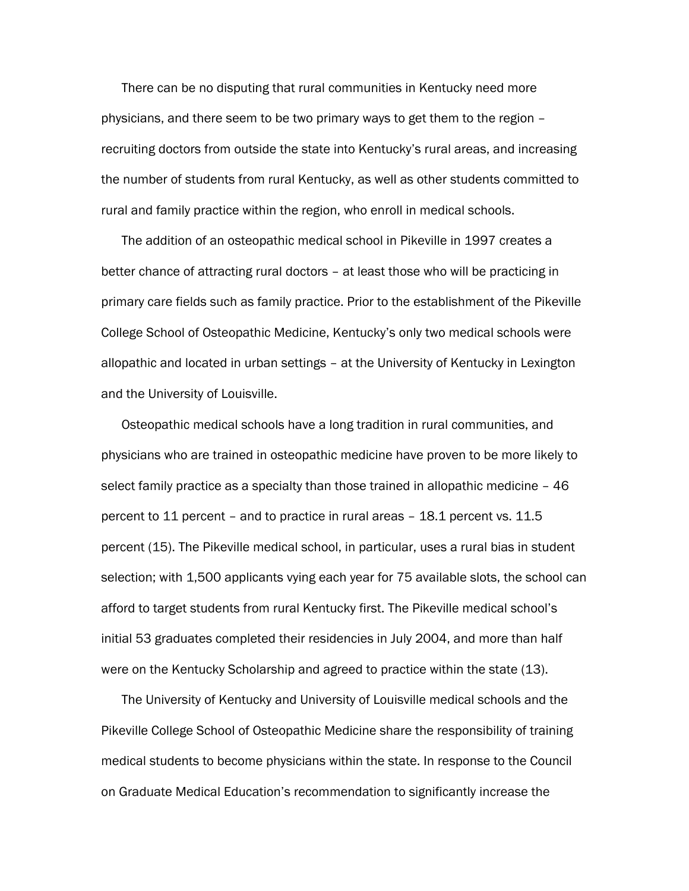There can be no disputing that rural communities in Kentucky need more physicians, and there seem to be two primary ways to get them to the region – recruiting doctors from outside the state into Kentucky's rural areas, and increasing the number of students from rural Kentucky, as well as other students committed to rural and family practice within the region, who enroll in medical schools.

The addition of an osteopathic medical school in Pikeville in 1997 creates a better chance of attracting rural doctors – at least those who will be practicing in primary care fields such as family practice. Prior to the establishment of the Pikeville College School of Osteopathic Medicine, Kentucky's only two medical schools were allopathic and located in urban settings – at the University of Kentucky in Lexington and the University of Louisville.

Osteopathic medical schools have a long tradition in rural communities, and physicians who are trained in osteopathic medicine have proven to be more likely to select family practice as a specialty than those trained in allopathic medicine – 46 percent to 11 percent – and to practice in rural areas – 18.1 percent vs. 11.5 percent (15). The Pikeville medical school, in particular, uses a rural bias in student selection; with 1,500 applicants vying each year for 75 available slots, the school can afford to target students from rural Kentucky first. The Pikeville medical school's initial 53 graduates completed their residencies in July 2004, and more than half were on the Kentucky Scholarship and agreed to practice within the state (13).

The University of Kentucky and University of Louisville medical schools and the Pikeville College School of Osteopathic Medicine share the responsibility of training medical students to become physicians within the state. In response to the Council on Graduate Medical Education's recommendation to significantly increase the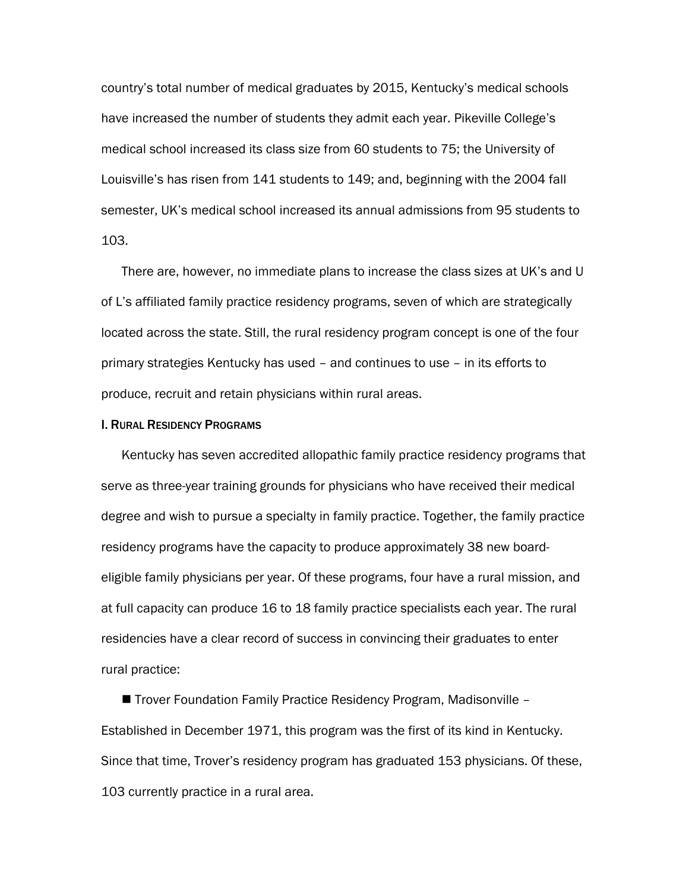country's total number of medical graduates by 2015, Kentucky's medical schools have increased the number of students they admit each year. Pikeville College's medical school increased its class size from 60 students to 75; the University of Louisville's has risen from 141 students to 149; and, beginning with the 2004 fall semester, UK's medical school increased its annual admissions from 95 students to 103.

There are, however, no immediate plans to increase the class sizes at UK's and U of L's affiliated family practice residency programs, seven of which are strategically located across the state. Still, the rural residency program concept is one of the four primary strategies Kentucky has used – and continues to use – in its efforts to produce, recruit and retain physicians within rural areas.

#### I. RURAL RESIDENCY PROGRAMS

Kentucky has seven accredited allopathic family practice residency programs that serve as three-year training grounds for physicians who have received their medical degree and wish to pursue a specialty in family practice. Together, the family practice residency programs have the capacity to produce approximately 38 new boardeligible family physicians per year. Of these programs, four have a rural mission, and at full capacity can produce 16 to 18 family practice specialists each year. The rural residencies have a clear record of success in convincing their graduates to enter rural practice:

■ Trover Foundation Family Practice Residency Program, Madisonville – Established in December 1971, this program was the first of its kind in Kentucky. Since that time, Trover's residency program has graduated 153 physicians. Of these, 103 currently practice in a rural area.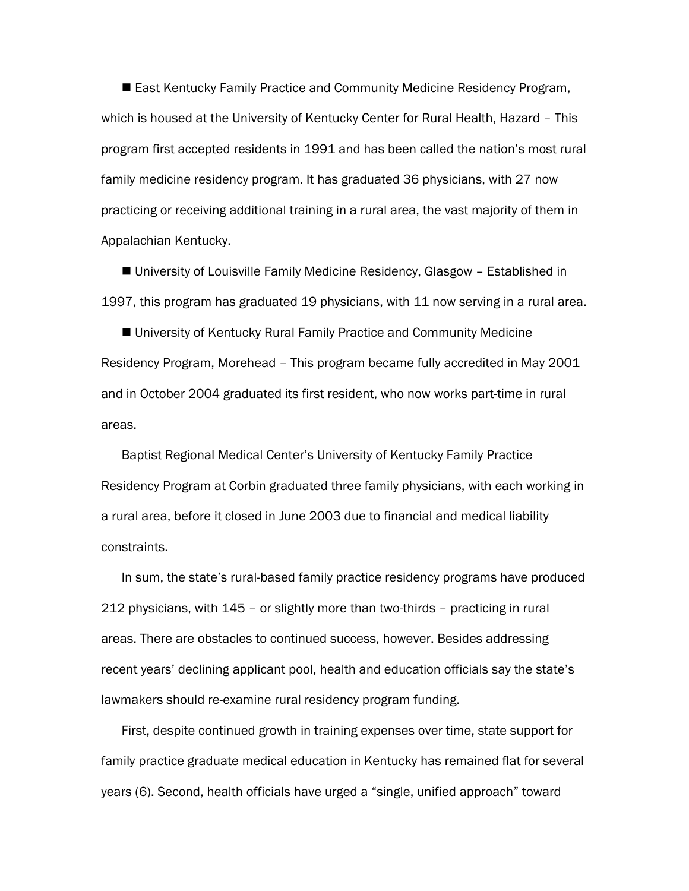■ East Kentucky Family Practice and Community Medicine Residency Program, which is housed at the University of Kentucky Center for Rural Health, Hazard – This program first accepted residents in 1991 and has been called the nation's most rural family medicine residency program. It has graduated 36 physicians, with 27 now practicing or receiving additional training in a rural area, the vast majority of them in Appalachian Kentucky.

■ University of Louisville Family Medicine Residency, Glasgow - Established in 1997, this program has graduated 19 physicians, with 11 now serving in a rural area.

■ University of Kentucky Rural Family Practice and Community Medicine Residency Program, Morehead – This program became fully accredited in May 2001 and in October 2004 graduated its first resident, who now works part-time in rural areas.

Baptist Regional Medical Center's University of Kentucky Family Practice Residency Program at Corbin graduated three family physicians, with each working in a rural area, before it closed in June 2003 due to financial and medical liability constraints.

In sum, the state's rural-based family practice residency programs have produced 212 physicians, with 145 – or slightly more than two-thirds – practicing in rural areas. There are obstacles to continued success, however. Besides addressing recent years' declining applicant pool, health and education officials say the state's lawmakers should re-examine rural residency program funding.

First, despite continued growth in training expenses over time, state support for family practice graduate medical education in Kentucky has remained flat for several years (6). Second, health officials have urged a "single, unified approach" toward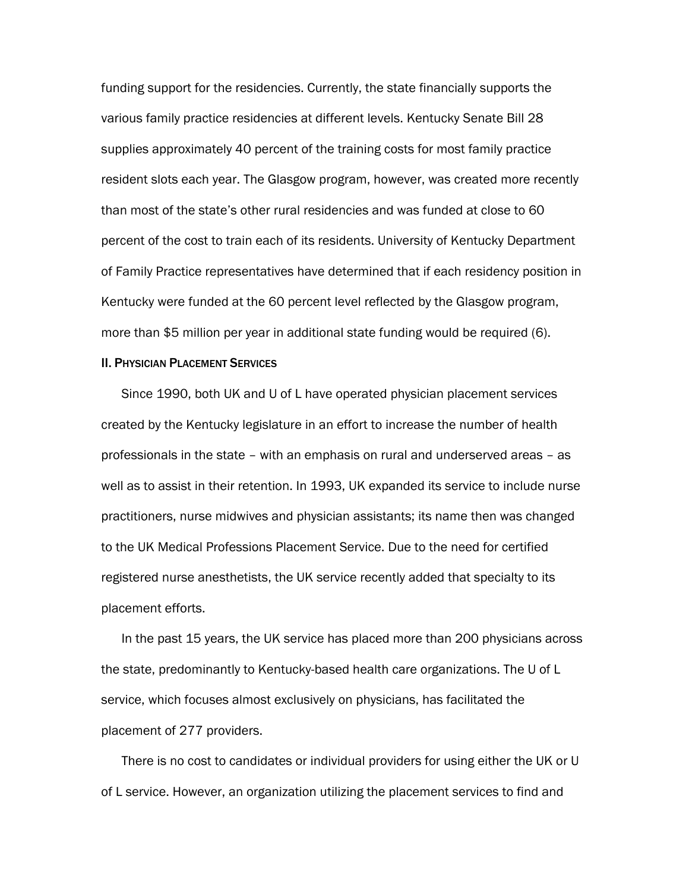funding support for the residencies. Currently, the state financially supports the various family practice residencies at different levels. Kentucky Senate Bill 28 supplies approximately 40 percent of the training costs for most family practice resident slots each year. The Glasgow program, however, was created more recently than most of the state's other rural residencies and was funded at close to 60 percent of the cost to train each of its residents. University of Kentucky Department of Family Practice representatives have determined that if each residency position in Kentucky were funded at the 60 percent level reflected by the Glasgow program, more than \$5 million per year in additional state funding would be required (6).

#### **II. PHYSICIAN PLACEMENT SERVICES**

Since 1990, both UK and U of L have operated physician placement services created by the Kentucky legislature in an effort to increase the number of health professionals in the state – with an emphasis on rural and underserved areas – as well as to assist in their retention. In 1993, UK expanded its service to include nurse practitioners, nurse midwives and physician assistants; its name then was changed to the UK Medical Professions Placement Service. Due to the need for certified registered nurse anesthetists, the UK service recently added that specialty to its placement efforts.

In the past 15 years, the UK service has placed more than 200 physicians across the state, predominantly to Kentucky-based health care organizations. The U of L service, which focuses almost exclusively on physicians, has facilitated the placement of 277 providers.

There is no cost to candidates or individual providers for using either the UK or U of L service. However, an organization utilizing the placement services to find and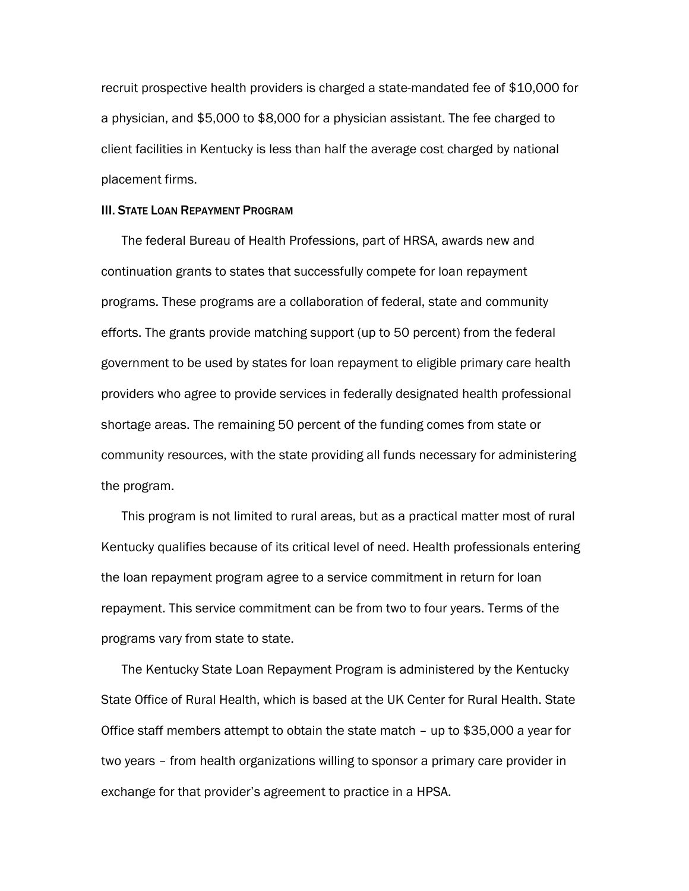recruit prospective health providers is charged a state-mandated fee of \$10,000 for a physician, and \$5,000 to \$8,000 for a physician assistant. The fee charged to client facilities in Kentucky is less than half the average cost charged by national placement firms.

#### III. STATE LOAN REPAYMENT PROGRAM

The federal Bureau of Health Professions, part of HRSA, awards new and continuation grants to states that successfully compete for loan repayment programs. These programs are a collaboration of federal, state and community efforts. The grants provide matching support (up to 50 percent) from the federal government to be used by states for loan repayment to eligible primary care health providers who agree to provide services in federally designated health professional shortage areas. The remaining 50 percent of the funding comes from state or community resources, with the state providing all funds necessary for administering the program.

This program is not limited to rural areas, but as a practical matter most of rural Kentucky qualifies because of its critical level of need. Health professionals entering the loan repayment program agree to a service commitment in return for loan repayment. This service commitment can be from two to four years. Terms of the programs vary from state to state.

The Kentucky State Loan Repayment Program is administered by the Kentucky State Office of Rural Health, which is based at the UK Center for Rural Health. State Office staff members attempt to obtain the state match – up to \$35,000 a year for two years – from health organizations willing to sponsor a primary care provider in exchange for that provider's agreement to practice in a HPSA.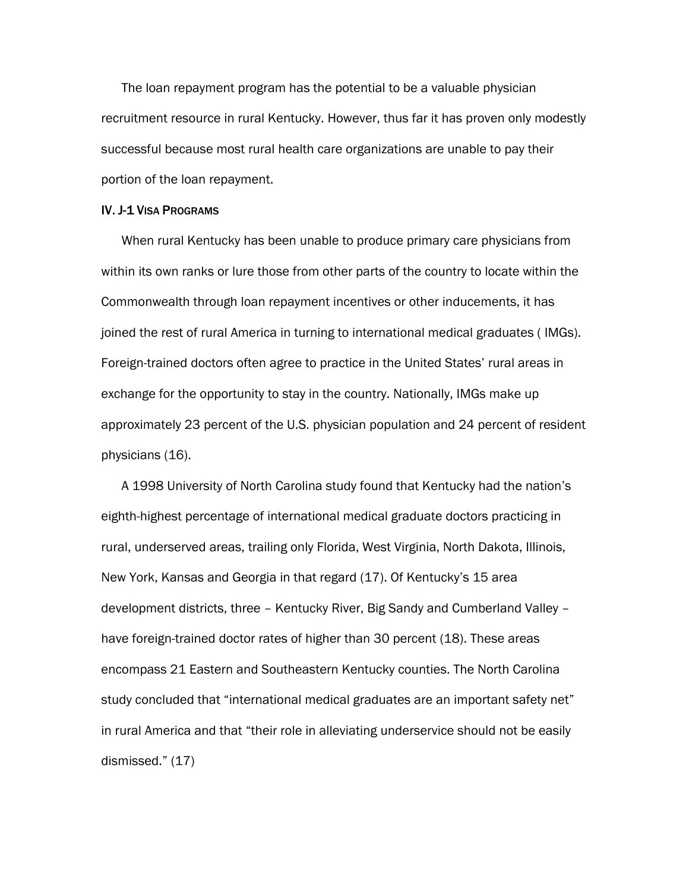The loan repayment program has the potential to be a valuable physician recruitment resource in rural Kentucky. However, thus far it has proven only modestly successful because most rural health care organizations are unable to pay their portion of the loan repayment.

#### IV. J-1 VISA PROGRAMS

When rural Kentucky has been unable to produce primary care physicians from within its own ranks or lure those from other parts of the country to locate within the Commonwealth through loan repayment incentives or other inducements, it has joined the rest of rural America in turning to international medical graduates ( IMGs). Foreign-trained doctors often agree to practice in the United States' rural areas in exchange for the opportunity to stay in the country. Nationally, IMGs make up approximately 23 percent of the U.S. physician population and 24 percent of resident physicians (16).

A 1998 University of North Carolina study found that Kentucky had the nation's eighth-highest percentage of international medical graduate doctors practicing in rural, underserved areas, trailing only Florida, West Virginia, North Dakota, Illinois, New York, Kansas and Georgia in that regard (17). Of Kentucky's 15 area development districts, three – Kentucky River, Big Sandy and Cumberland Valley – have foreign-trained doctor rates of higher than 30 percent (18). These areas encompass 21 Eastern and Southeastern Kentucky counties. The North Carolina study concluded that "international medical graduates are an important safety net" in rural America and that "their role in alleviating underservice should not be easily dismissed." (17)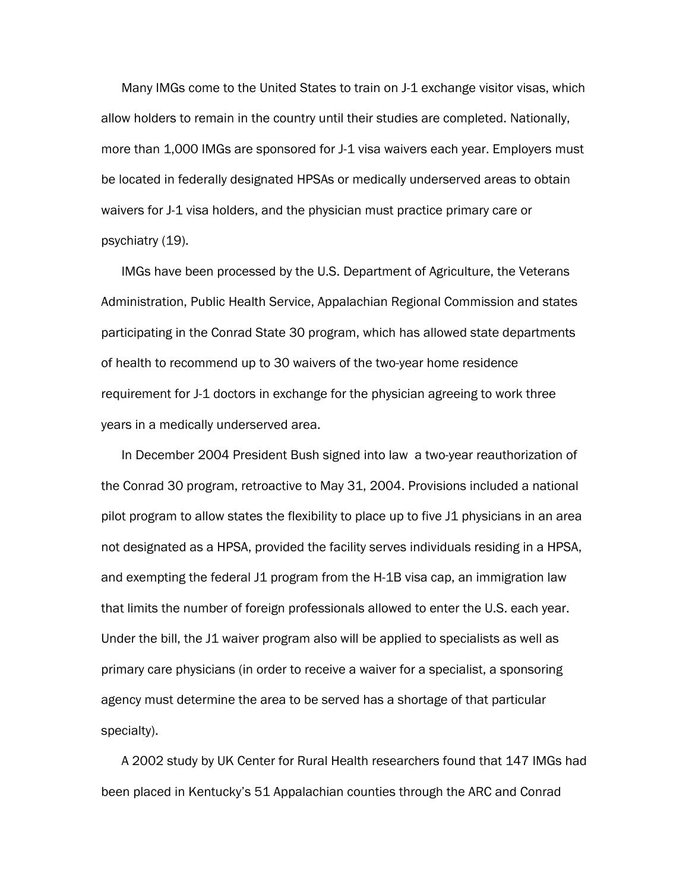Many IMGs come to the United States to train on J-1 exchange visitor visas, which allow holders to remain in the country until their studies are completed. Nationally, more than 1,000 IMGs are sponsored for J-1 visa waivers each year. Employers must be located in federally designated HPSAs or medically underserved areas to obtain waivers for J-1 visa holders, and the physician must practice primary care or psychiatry (19).

IMGs have been processed by the U.S. Department of Agriculture, the Veterans Administration, Public Health Service, Appalachian Regional Commission and states participating in the Conrad State 30 program, which has allowed state departments of health to recommend up to 30 waivers of the two-year home residence requirement for J-1 doctors in exchange for the physician agreeing to work three years in a medically underserved area.

In December 2004 President Bush signed into law a two-year reauthorization of the Conrad 30 program, retroactive to May 31, 2004. Provisions included a national pilot program to allow states the flexibility to place up to five J1 physicians in an area not designated as a HPSA, provided the facility serves individuals residing in a HPSA, and exempting the federal J1 program from the H-1B visa cap, an immigration law that limits the number of foreign professionals allowed to enter the U.S. each year. Under the bill, the J1 waiver program also will be applied to specialists as well as primary care physicians (in order to receive a waiver for a specialist, a sponsoring agency must determine the area to be served has a shortage of that particular specialty).

A 2002 study by UK Center for Rural Health researchers found that 147 IMGs had been placed in Kentucky's 51 Appalachian counties through the ARC and Conrad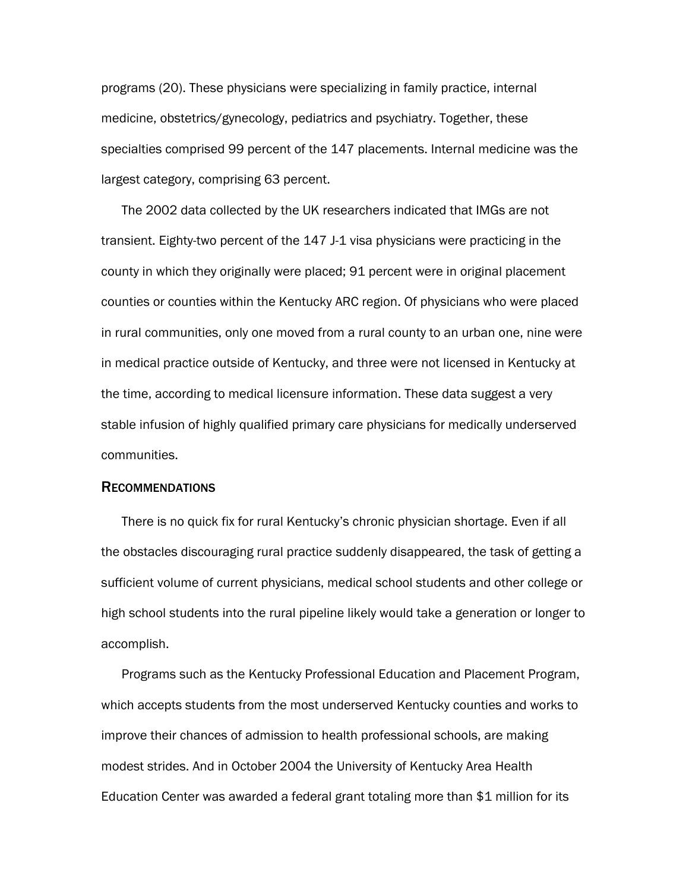programs (20). These physicians were specializing in family practice, internal medicine, obstetrics/gynecology, pediatrics and psychiatry. Together, these specialties comprised 99 percent of the 147 placements. Internal medicine was the largest category, comprising 63 percent.

The 2002 data collected by the UK researchers indicated that IMGs are not transient. Eighty-two percent of the 147 J-1 visa physicians were practicing in the county in which they originally were placed; 91 percent were in original placement counties or counties within the Kentucky ARC region. Of physicians who were placed in rural communities, only one moved from a rural county to an urban one, nine were in medical practice outside of Kentucky, and three were not licensed in Kentucky at the time, according to medical licensure information. These data suggest a very stable infusion of highly qualified primary care physicians for medically underserved communities.

#### RECOMMENDATIONS

There is no quick fix for rural Kentucky's chronic physician shortage. Even if all the obstacles discouraging rural practice suddenly disappeared, the task of getting a sufficient volume of current physicians, medical school students and other college or high school students into the rural pipeline likely would take a generation or longer to accomplish.

Programs such as the Kentucky Professional Education and Placement Program, which accepts students from the most underserved Kentucky counties and works to improve their chances of admission to health professional schools, are making modest strides. And in October 2004 the University of Kentucky Area Health Education Center was awarded a federal grant totaling more than \$1 million for its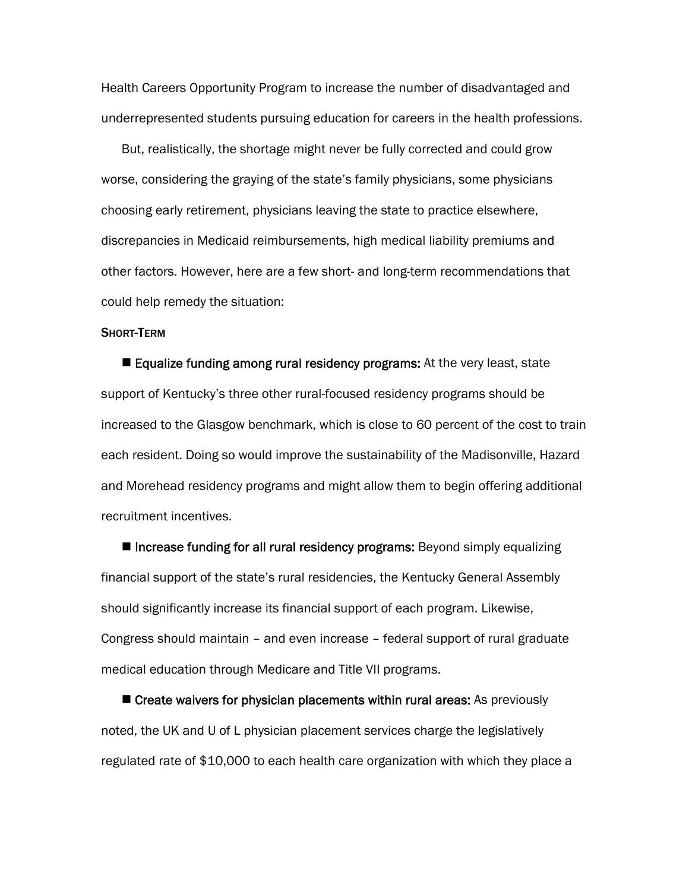Health Careers Opportunity Program to increase the number of disadvantaged and underrepresented students pursuing education for careers in the health professions.

But, realistically, the shortage might never be fully corrected and could grow worse, considering the graying of the state's family physicians, some physicians choosing early retirement, physicians leaving the state to practice elsewhere, discrepancies in Medicaid reimbursements, high medical liability premiums and other factors. However, here are a few short- and long-term recommendations that could help remedy the situation:

#### SHORT-TERM

■ Equalize funding among rural residency programs: At the very least, state support of Kentucky's three other rural-focused residency programs should be increased to the Glasgow benchmark, which is close to 60 percent of the cost to train each resident. Doing so would improve the sustainability of the Madisonville, Hazard and Morehead residency programs and might allow them to begin offering additional recruitment incentives.

■ Increase funding for all rural residency programs: Beyond simply equalizing financial support of the state's rural residencies, the Kentucky General Assembly should significantly increase its financial support of each program. Likewise, Congress should maintain – and even increase – federal support of rural graduate medical education through Medicare and Title VII programs.

**E** Create waivers for physician placements within rural areas: As previously noted, the UK and U of L physician placement services charge the legislatively regulated rate of \$10,000 to each health care organization with which they place a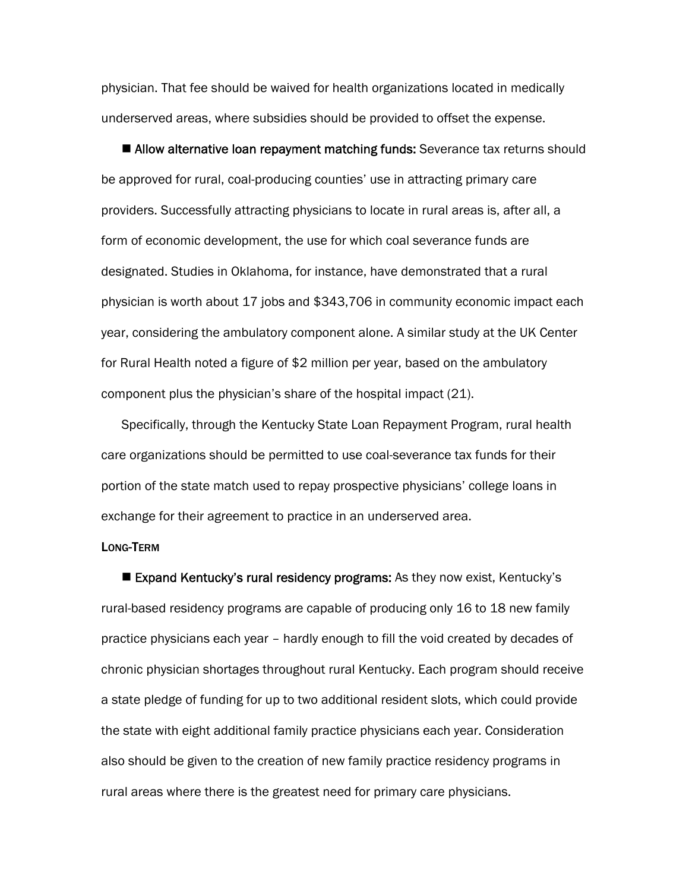physician. That fee should be waived for health organizations located in medically underserved areas, where subsidies should be provided to offset the expense.

**Allow alternative loan repayment matching funds:** Severance tax returns should be approved for rural, coal-producing counties' use in attracting primary care providers. Successfully attracting physicians to locate in rural areas is, after all, a form of economic development, the use for which coal severance funds are designated. Studies in Oklahoma, for instance, have demonstrated that a rural physician is worth about 17 jobs and \$343,706 in community economic impact each year, considering the ambulatory component alone. A similar study at the UK Center for Rural Health noted a figure of \$2 million per year, based on the ambulatory component plus the physician's share of the hospital impact (21).

Specifically, through the Kentucky State Loan Repayment Program, rural health care organizations should be permitted to use coal-severance tax funds for their portion of the state match used to repay prospective physicians' college loans in exchange for their agreement to practice in an underserved area.

#### LONG-TERM

■ Expand Kentucky's rural residency programs: As they now exist, Kentucky's rural-based residency programs are capable of producing only 16 to 18 new family practice physicians each year – hardly enough to fill the void created by decades of chronic physician shortages throughout rural Kentucky. Each program should receive a state pledge of funding for up to two additional resident slots, which could provide the state with eight additional family practice physicians each year. Consideration also should be given to the creation of new family practice residency programs in rural areas where there is the greatest need for primary care physicians.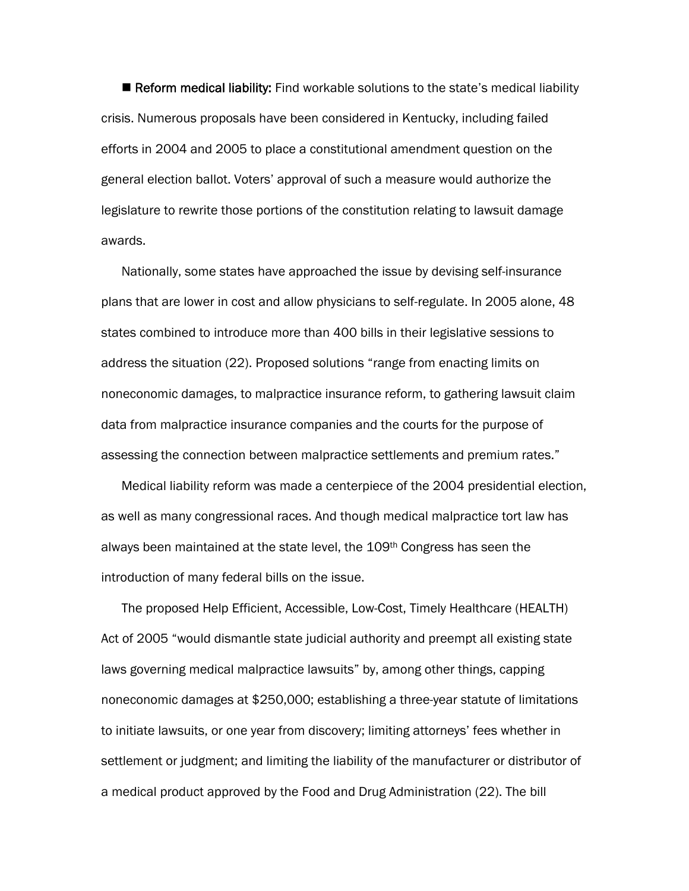■ Reform medical liability: Find workable solutions to the state's medical liability crisis. Numerous proposals have been considered in Kentucky, including failed efforts in 2004 and 2005 to place a constitutional amendment question on the general election ballot. Voters' approval of such a measure would authorize the legislature to rewrite those portions of the constitution relating to lawsuit damage awards.

Nationally, some states have approached the issue by devising self-insurance plans that are lower in cost and allow physicians to self-regulate. In 2005 alone, 48 states combined to introduce more than 400 bills in their legislative sessions to address the situation (22). Proposed solutions "range from enacting limits on noneconomic damages, to malpractice insurance reform, to gathering lawsuit claim data from malpractice insurance companies and the courts for the purpose of assessing the connection between malpractice settlements and premium rates."

Medical liability reform was made a centerpiece of the 2004 presidential election, as well as many congressional races. And though medical malpractice tort law has always been maintained at the state level, the 109th Congress has seen the introduction of many federal bills on the issue.

The proposed Help Efficient, Accessible, Low-Cost, Timely Healthcare (HEALTH) Act of 2005 "would dismantle state judicial authority and preempt all existing state laws governing medical malpractice lawsuits" by, among other things, capping noneconomic damages at \$250,000; establishing a three-year statute of limitations to initiate lawsuits, or one year from discovery; limiting attorneys' fees whether in settlement or judgment; and limiting the liability of the manufacturer or distributor of a medical product approved by the Food and Drug Administration (22). The bill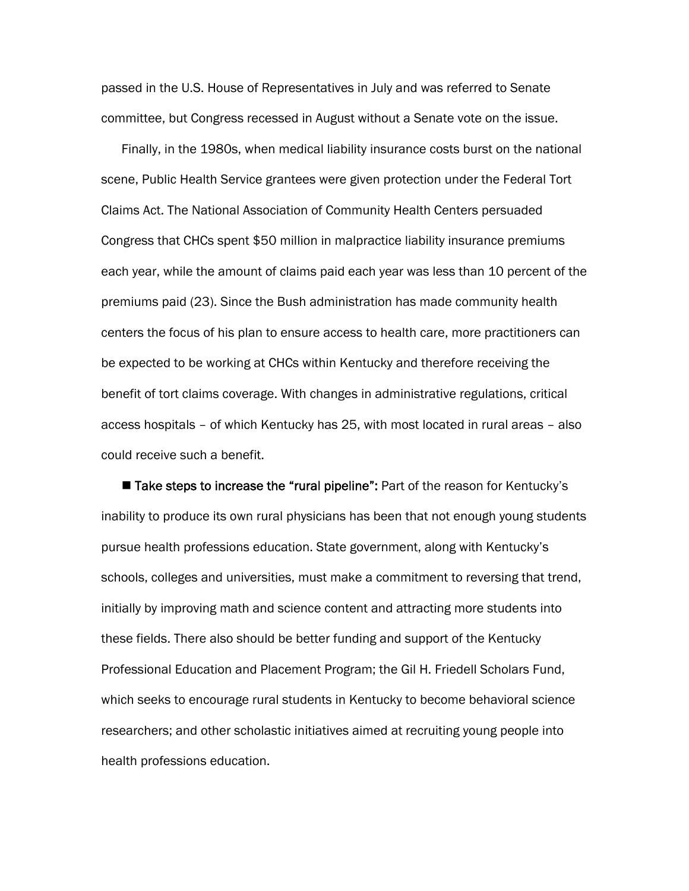passed in the U.S. House of Representatives in July and was referred to Senate committee, but Congress recessed in August without a Senate vote on the issue.

Finally, in the 1980s, when medical liability insurance costs burst on the national scene, Public Health Service grantees were given protection under the Federal Tort Claims Act. The National Association of Community Health Centers persuaded Congress that CHCs spent \$50 million in malpractice liability insurance premiums each year, while the amount of claims paid each year was less than 10 percent of the premiums paid (23). Since the Bush administration has made community health centers the focus of his plan to ensure access to health care, more practitioners can be expected to be working at CHCs within Kentucky and therefore receiving the benefit of tort claims coverage. With changes in administrative regulations, critical access hospitals – of which Kentucky has 25, with most located in rural areas – also could receive such a benefit.

■ Take steps to increase the "rural pipeline": Part of the reason for Kentucky's inability to produce its own rural physicians has been that not enough young students pursue health professions education. State government, along with Kentucky's schools, colleges and universities, must make a commitment to reversing that trend, initially by improving math and science content and attracting more students into these fields. There also should be better funding and support of the Kentucky Professional Education and Placement Program; the Gil H. Friedell Scholars Fund, which seeks to encourage rural students in Kentucky to become behavioral science researchers; and other scholastic initiatives aimed at recruiting young people into health professions education.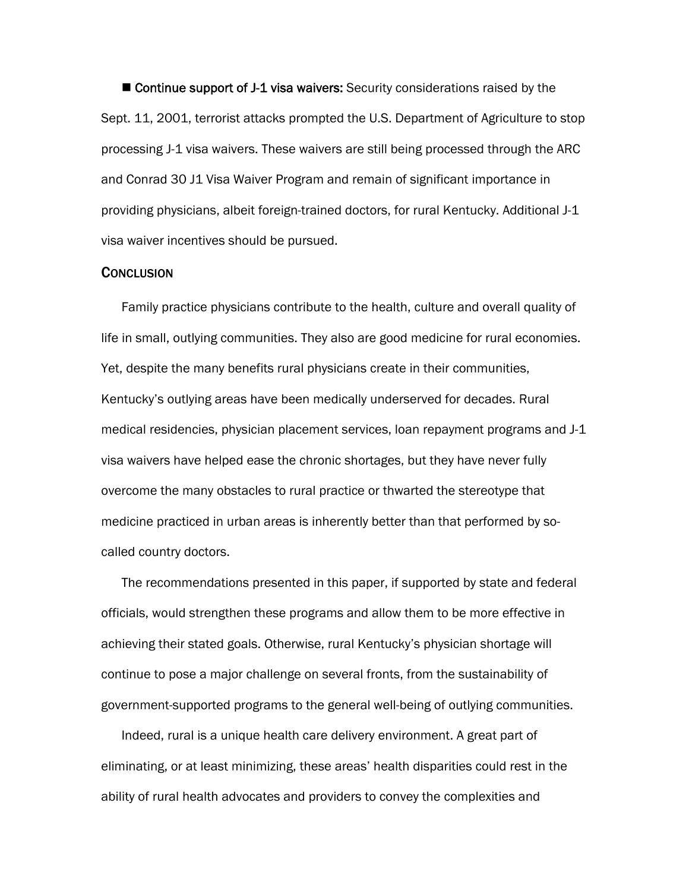■ Continue support of J-1 visa waivers: Security considerations raised by the Sept. 11, 2001, terrorist attacks prompted the U.S. Department of Agriculture to stop processing J-1 visa waivers. These waivers are still being processed through the ARC and Conrad 30 J1 Visa Waiver Program and remain of significant importance in providing physicians, albeit foreign-trained doctors, for rural Kentucky. Additional J-1 visa waiver incentives should be pursued.

## **CONCLUSION**

Family practice physicians contribute to the health, culture and overall quality of life in small, outlying communities. They also are good medicine for rural economies. Yet, despite the many benefits rural physicians create in their communities, Kentucky's outlying areas have been medically underserved for decades. Rural medical residencies, physician placement services, loan repayment programs and J-1 visa waivers have helped ease the chronic shortages, but they have never fully overcome the many obstacles to rural practice or thwarted the stereotype that medicine practiced in urban areas is inherently better than that performed by socalled country doctors.

The recommendations presented in this paper, if supported by state and federal officials, would strengthen these programs and allow them to be more effective in achieving their stated goals. Otherwise, rural Kentucky's physician shortage will continue to pose a major challenge on several fronts, from the sustainability of government-supported programs to the general well-being of outlying communities.

Indeed, rural is a unique health care delivery environment. A great part of eliminating, or at least minimizing, these areas' health disparities could rest in the ability of rural health advocates and providers to convey the complexities and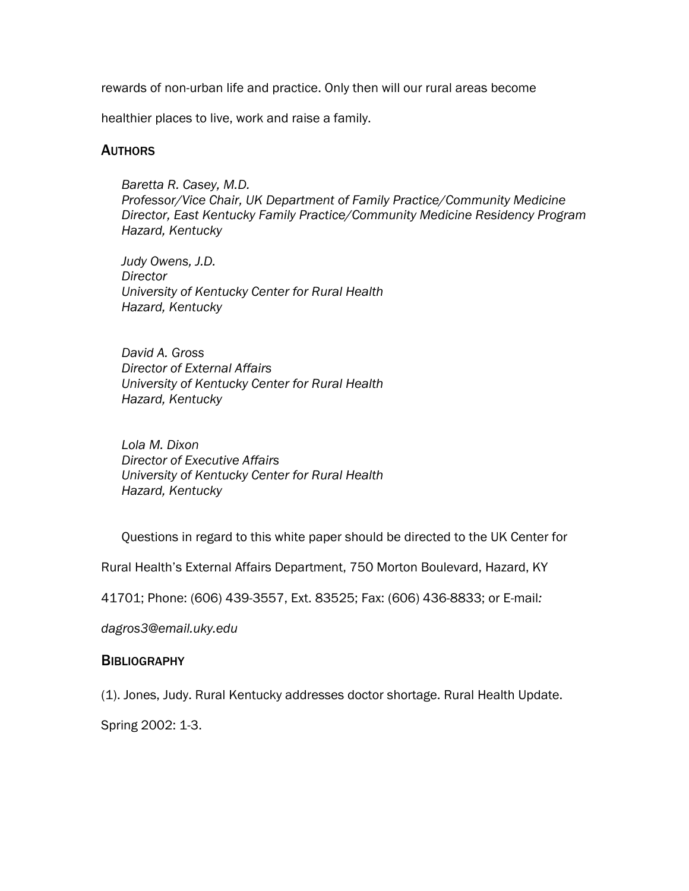rewards of non-urban life and practice. Only then will our rural areas become

healthier places to live, work and raise a family.

# **AUTHORS**

*Baretta R. Casey, M.D. Professor/Vice Chair, UK Department of Family Practice/Community Medicine Director, East Kentucky Family Practice/Community Medicine Residency Program Hazard, Kentucky* 

*Judy Owens, J.D. Director University of Kentucky Center for Rural Health Hazard, Kentucky* 

*David A. Gross Director of External Affairs University of Kentucky Center for Rural Health Hazard, Kentucky* 

*Lola M. Dixon Director of Executive Affairs University of Kentucky Center for Rural Health Hazard, Kentucky* 

Questions in regard to this white paper should be directed to the UK Center for

Rural Health's External Affairs Department, 750 Morton Boulevard, Hazard, KY

41701; Phone: (606) 439-3557, Ext. 83525; Fax: (606) 436-8833; or E-mail*:* 

*dagros3@email.uky.edu* 

# **BIBLIOGRAPHY**

(1). Jones, Judy. Rural Kentucky addresses doctor shortage. Rural Health Update.

Spring 2002: 1-3.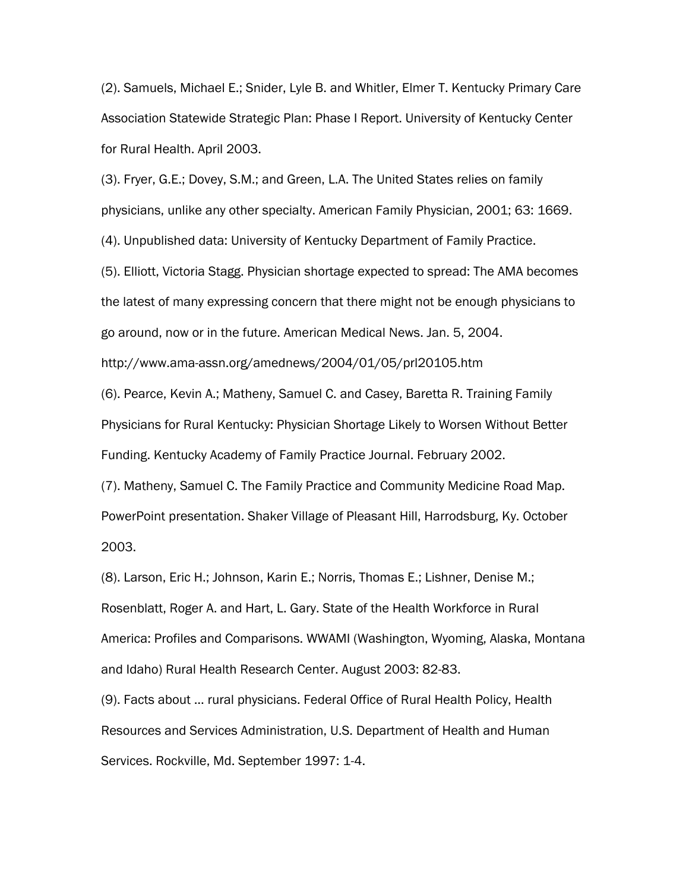(2). Samuels, Michael E.; Snider, Lyle B. and Whitler, Elmer T. Kentucky Primary Care Association Statewide Strategic Plan: Phase I Report. University of Kentucky Center for Rural Health. April 2003.

(3). Fryer, G.E.; Dovey, S.M.; and Green, L.A. The United States relies on family physicians, unlike any other specialty. American Family Physician, 2001; 63: 1669.

(4). Unpublished data: University of Kentucky Department of Family Practice.

(5). Elliott, Victoria Stagg. Physician shortage expected to spread: The AMA becomes the latest of many expressing concern that there might not be enough physicians to go around, now or in the future. American Medical News. Jan. 5, 2004.

http://www.ama-assn.org/amednews/2004/01/05/prl20105.htm

(6). Pearce, Kevin A.; Matheny, Samuel C. and Casey, Baretta R. Training Family Physicians for Rural Kentucky: Physician Shortage Likely to Worsen Without Better Funding. Kentucky Academy of Family Practice Journal. February 2002.

(7). Matheny, Samuel C. The Family Practice and Community Medicine Road Map. PowerPoint presentation. Shaker Village of Pleasant Hill, Harrodsburg, Ky. October 2003.

(8). Larson, Eric H.; Johnson, Karin E.; Norris, Thomas E.; Lishner, Denise M.; Rosenblatt, Roger A. and Hart, L. Gary. State of the Health Workforce in Rural America: Profiles and Comparisons. WWAMI (Washington, Wyoming, Alaska, Montana and Idaho) Rural Health Research Center. August 2003: 82-83.

(9). Facts about … rural physicians. Federal Office of Rural Health Policy, Health Resources and Services Administration, U.S. Department of Health and Human Services. Rockville, Md. September 1997: 1-4.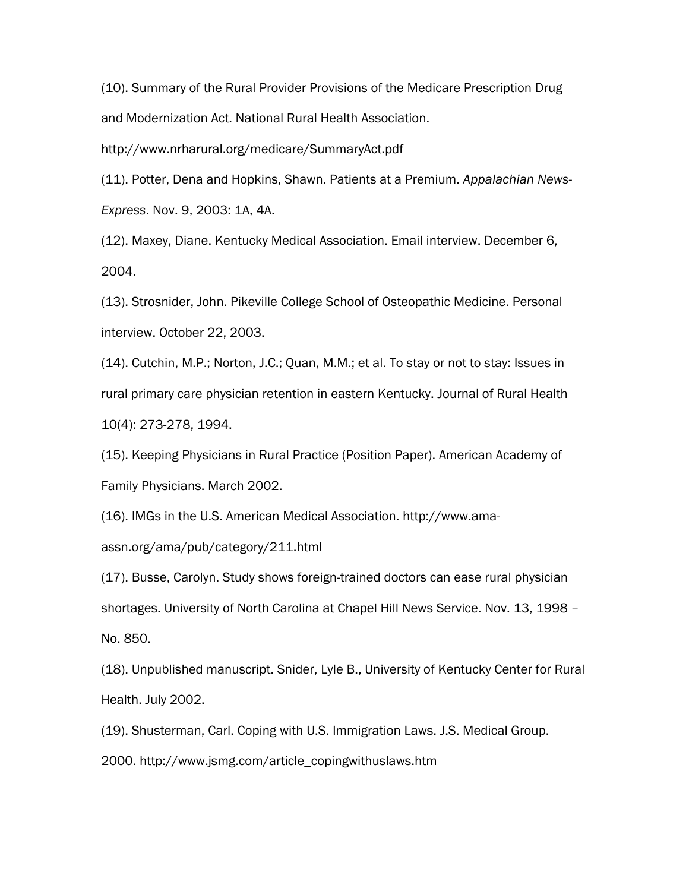(10). Summary of the Rural Provider Provisions of the Medicare Prescription Drug and Modernization Act. National Rural Health Association.

http://www.nrharural.org/medicare/SummaryAct.pdf

(11). Potter, Dena and Hopkins, Shawn. Patients at a Premium. *Appalachian News-Express*. Nov. 9, 2003: 1A, 4A.

(12). Maxey, Diane. Kentucky Medical Association. Email interview. December 6, 2004.

(13). Strosnider, John. Pikeville College School of Osteopathic Medicine. Personal interview. October 22, 2003.

(14). Cutchin, M.P.; Norton, J.C.; Quan, M.M.; et al. To stay or not to stay: Issues in rural primary care physician retention in eastern Kentucky. Journal of Rural Health 10(4): 273-278, 1994.

(15). Keeping Physicians in Rural Practice (Position Paper). American Academy of Family Physicians. March 2002.

(16). IMGs in the U.S. American Medical Association. http://www.ama-

assn.org/ama/pub/category/211.html

(17). Busse, Carolyn. Study shows foreign-trained doctors can ease rural physician shortages. University of North Carolina at Chapel Hill News Service. Nov. 13, 1998 – No. 850.

(18). Unpublished manuscript. Snider, Lyle B., University of Kentucky Center for Rural Health. July 2002.

(19). Shusterman, Carl. Coping with U.S. Immigration Laws. J.S. Medical Group.

2000. http://www.jsmg.com/article\_copingwithuslaws.htm